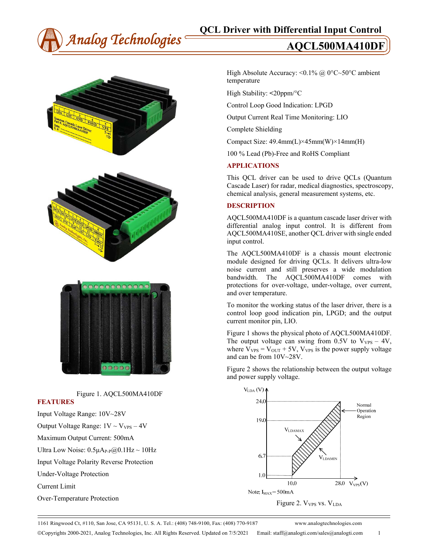





Figure 1. AQCL500MA410DF

# **FEATURES**

Input Voltage Range: 10V~28V Output Voltage Range:  $1V \sim V_{VPS} - 4V$ Maximum Output Current: 500mA Ultra Low Noise:  $0.5\mu A_{P-P}(Q)0.1Hz \sim 10Hz$ Input Voltage Polarity Reverse Protection Under-Voltage Protection Current Limit Over-Temperature Protection

High Absolute Accuracy: < $0.1\%$  @ 0°C~50°C ambient temperature

High Stability: **<**20ppm/°C

Control Loop Good Indication: LPGD

Output Current Real Time Monitoring: LIO

Complete Shielding

Compact Size:  $49.4mm(L)\times 45mm(W)\times 14mm(H)$ 

100 % Lead (Pb)-Free and RoHS Compliant

# **APPLICATIONS**

This QCL driver can be used to drive QCLs (Quantum Cascade Laser) for radar, medical diagnostics, spectroscopy, chemical analysis, general measurement systems, etc.

# **DESCRIPTION**

AQCL500MA410DF is a quantum cascade laser driver with differential analog input control. It is different from AQCL500MA410SE, another QCL driver with single ended input control.

The AQCL500MA410DF is a chassis mount electronic module designed for driving QCLs. It delivers ultra-low noise current and still preserves a wide modulation bandwidth. The AQCL500MA410DF comes with protections for over-voltage, under-voltage, over current, and over temperature.

To monitor the working status of the laser driver, there is a control loop good indication pin, LPGD; and the output current monitor pin, LIO.

Figure 1 shows the physical photo of AQCL500MA410DF. The output voltage can swing from  $0.5V$  to  $V_{VPS} - 4V$ , where  $V_{VPS} = V_{OUT} + 5V$ ,  $V_{VPS}$  is the power supply voltage and can be from 10V~28V.

Figure 2 shows the relationship between the output voltage and power supply voltage.



Figure 2. V<sub>VPS</sub> vs. V<sub>LDA</sub>

1161 Ringwood Ct, #110, San Jose, CA 95131, U. S. A. Tel.: (408) 748-9100, Fax: (408) 770-9187 www.analogtechnologies.com Copyrights 2000-2021, Analog Technologies, Inc. All Rights Reserved. Updated on 7/5/2021 Email: staff@analogti.com/sales@analogti.com 1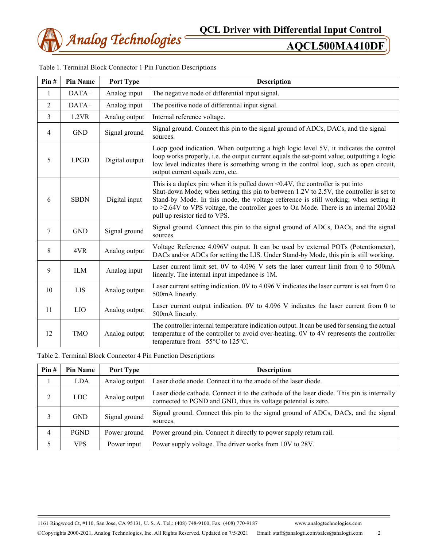

| Pin# | <b>Pin Name</b> | Port Type      | <b>Description</b>                                                                                                                                                                                                                                                                                                                                                                                       |  |  |
|------|-----------------|----------------|----------------------------------------------------------------------------------------------------------------------------------------------------------------------------------------------------------------------------------------------------------------------------------------------------------------------------------------------------------------------------------------------------------|--|--|
| 1    | DATA-           | Analog input   | The negative node of differential input signal.                                                                                                                                                                                                                                                                                                                                                          |  |  |
| 2    | DATA+           | Analog input   | The positive node of differential input signal.                                                                                                                                                                                                                                                                                                                                                          |  |  |
| 3    | 1.2VR           | Analog output  | Internal reference voltage.                                                                                                                                                                                                                                                                                                                                                                              |  |  |
| 4    | <b>GND</b>      | Signal ground  | Signal ground. Connect this pin to the signal ground of ADCs, DACs, and the signal<br>sources.                                                                                                                                                                                                                                                                                                           |  |  |
| 5    | <b>LPGD</b>     | Digital output | Loop good indication. When outputting a high logic level 5V, it indicates the control<br>loop works properly, i.e. the output current equals the set-point value; outputting a logic<br>low level indicates there is something wrong in the control loop, such as open circuit,<br>output current equals zero, etc.                                                                                      |  |  |
| 6    | <b>SBDN</b>     | Digital input  | This is a duplex pin: when it is pulled down $\leq 0.4V$ , the controller is put into<br>Shut-down Mode; when setting this pin to between 1.2V to 2.5V, the controller is set to<br>Stand-by Mode. In this mode, the voltage reference is still working; when setting it<br>to >2.64V to VPS voltage, the controller goes to On Mode. There is an internal 20M $\Omega$<br>pull up resistor tied to VPS. |  |  |
| 7    | <b>GND</b>      | Signal ground  | Signal ground. Connect this pin to the signal ground of ADCs, DACs, and the signal<br>sources.                                                                                                                                                                                                                                                                                                           |  |  |
| 8    | 4VR             | Analog output  | Voltage Reference 4.096V output. It can be used by external POTs (Potentiometer),<br>DACs and/or ADCs for setting the LIS. Under Stand-by Mode, this pin is still working.                                                                                                                                                                                                                               |  |  |
| 9    | <b>ILM</b>      | Analog input   | Laser current limit set. 0V to 4.096 V sets the laser current limit from 0 to 500mA<br>linearly. The internal input impedance is 1M.                                                                                                                                                                                                                                                                     |  |  |
| 10   | <b>LIS</b>      | Analog output  | Laser current setting indication. 0V to 4.096 V indicates the laser current is set from 0 to<br>500mA linearly.                                                                                                                                                                                                                                                                                          |  |  |
| 11   | LIO             | Analog output  | Laser current output indication. 0V to 4.096 V indicates the laser current from 0 to<br>500mA linearly.                                                                                                                                                                                                                                                                                                  |  |  |
| 12   | <b>TMO</b>      | Analog output  | The controller internal temperature indication output. It can be used for sensing the actual<br>temperature of the controller to avoid over-heating. 0V to 4V represents the controller<br>temperature from $-55^{\circ}$ C to 125 $^{\circ}$ C.                                                                                                                                                         |  |  |

| Table 1. Terminal Block Connector 1 Pin Function Descriptions |  |  |
|---------------------------------------------------------------|--|--|
|                                                               |  |  |

Table 2. Terminal Block Connector 4 Pin Function Descriptions

| Pin# | <b>Pin Name</b> | Port Type     | <b>Description</b>                                                                                                                                          |  |  |
|------|-----------------|---------------|-------------------------------------------------------------------------------------------------------------------------------------------------------------|--|--|
|      | <b>LDA</b>      | Analog output | Laser diode anode. Connect it to the anode of the laser diode.                                                                                              |  |  |
| 2    | <b>LDC</b>      | Analog output | Laser diode cathode. Connect it to the cathode of the laser diode. This pin is internally<br>connected to PGND and GND, thus its voltage potential is zero. |  |  |
| 3    | <b>GND</b>      | Signal ground | Signal ground. Connect this pin to the signal ground of ADCs, DACs, and the signal<br>sources.                                                              |  |  |
| 4    | <b>PGND</b>     | Power ground  | Power ground pin. Connect it directly to power supply return rail.                                                                                          |  |  |
|      | <b>VPS</b>      | Power input   | Power supply voltage. The driver works from 10V to 28V.                                                                                                     |  |  |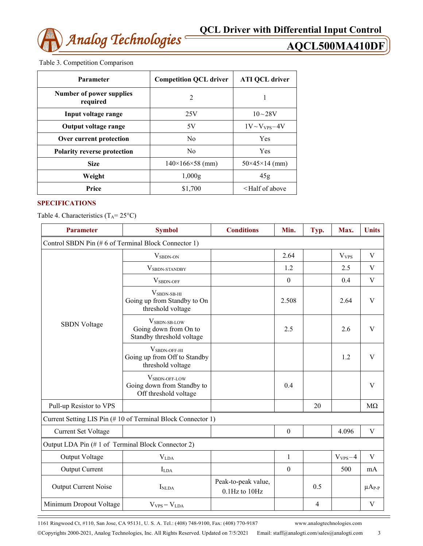

# Table 3. Competition Comparison

| Parameter                            | <b>Competition QCL driver</b> | <b>ATI QCL driver</b>               |  |
|--------------------------------------|-------------------------------|-------------------------------------|--|
| Number of power supplies<br>required | $\overline{2}$                |                                     |  |
| Input voltage range                  | 25V                           | $10 - 28V$                          |  |
| Output voltage range                 | 5V                            | $1V \sim V_{VPS} - 4V$              |  |
| Over current protection              | N <sub>0</sub>                | Yes                                 |  |
| <b>Polarity reverse protection</b>   | N <sub>0</sub>                | Yes                                 |  |
| <b>Size</b>                          | $140\times166\times58$ (mm)   | $50\times45\times14$ (mm)           |  |
| Weight                               | 1,000g                        | 45g                                 |  |
| Price                                | \$1,700                       | <half above<="" of="" th=""></half> |  |

# **SPECIFICATIONS**

Table 4. Characteristics  $(T_A = 25^{\circ}C)$ 

| <b>Parameter</b>                                    | <b>Symbol</b>                                                                        | <b>Conditions</b>                    | Min.         | Typ. | Max.             | <b>Units</b>  |  |
|-----------------------------------------------------|--------------------------------------------------------------------------------------|--------------------------------------|--------------|------|------------------|---------------|--|
| Control SBDN Pin (#6 of Terminal Block Connector 1) |                                                                                      |                                      |              |      |                  |               |  |
|                                                     | $V_{SBDN-ON}$                                                                        |                                      | 2.64         |      | V <sub>VPS</sub> | V             |  |
|                                                     | VSBDN-STANDBY                                                                        |                                      | 1.2          |      | 2.5              | $\mathbf{V}$  |  |
|                                                     | $V_{SBDN\text{-}OFF}$                                                                |                                      | $\theta$     |      | 0.4              | V             |  |
|                                                     | $V_{SBDN-SB-HI}$<br>Going up from Standby to On<br>threshold voltage                 |                                      | 2.508        |      | 2.64             | V             |  |
| <b>SBDN</b> Voltage                                 | VSBDN-SB-LOW<br>Going down from On to<br>Standby threshold voltage                   |                                      | 2.5          |      | 2.6              | V             |  |
|                                                     | $V_{SBDN\text{-}OFF\text{-}HI}$<br>Going up from Off to Standby<br>threshold voltage |                                      |              |      | 1.2              | V             |  |
|                                                     | V <sub>SBDN-OFF-LOW</sub><br>Going down from Standby to<br>Off threshold voltage     |                                      | 0.4          |      |                  | V             |  |
| Pull-up Resistor to VPS                             |                                                                                      |                                      |              | 20   |                  | $M\Omega$     |  |
|                                                     | Current Setting LIS Pin (#10 of Terminal Block Connector 1)                          |                                      |              |      |                  |               |  |
| <b>Current Set Voltage</b>                          |                                                                                      |                                      | $\mathbf{0}$ |      | 4.096            | $\mathbf V$   |  |
| Output LDA Pin (#1 of Terminal Block Connector 2)   |                                                                                      |                                      |              |      |                  |               |  |
| Output Voltage                                      | V <sub>LDA</sub>                                                                     |                                      | 1            |      | $V_{VPS} - 4$    | V             |  |
| <b>Output Current</b>                               | $I_{LDA}$                                                                            |                                      | $\mathbf{0}$ |      | 500              | mA            |  |
| Output Current Noise                                | I <sub>NLDA</sub>                                                                    | Peak-to-peak value,<br>0.1Hz to 10Hz |              | 0.5  |                  | $\mu A_{P-P}$ |  |
| Minimum Dropout Voltage                             | $V_{VPS} - V_{LDA}$                                                                  |                                      |              | 4    |                  | V             |  |

1161 Ringwood Ct, #110, San Jose, CA 95131, U. S. A. Tel.: (408) 748-9100, Fax: (408) 770-9187 www.analogtechnologies.com

Copyrights 2000-2021, Analog Technologies, Inc. All Rights Reserved. Updated on 7/5/2021 Email: staff@analogti.com/sales@analogti.com 3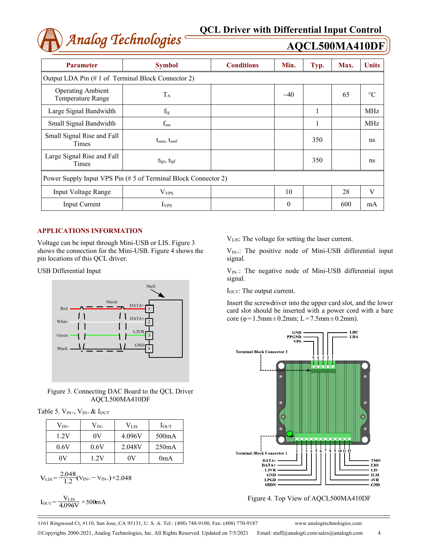

| <b>Parameter</b>                                               | <b>Symbol</b>                                     | <b>Conditions</b> | Min.  | Typ. | Max. | <b>Units</b>    |  |  |
|----------------------------------------------------------------|---------------------------------------------------|-------------------|-------|------|------|-----------------|--|--|
|                                                                | Output LDA Pin (#1 of Terminal Block Connector 2) |                   |       |      |      |                 |  |  |
| <b>Operating Ambient</b><br>Temperature Range                  | $T_A$                                             |                   | $-40$ |      | 65   | $\rm ^{\circ}C$ |  |  |
| Large Signal Bandwidth                                         | $f_{lg}$                                          |                   |       |      |      | <b>MHz</b>      |  |  |
| Small Signal Bandwidth                                         | $f_{\rm sm}$                                      |                   |       | -    |      | <b>MHz</b>      |  |  |
| Small Signal Rise and Fall<br>Times                            | $t_{\rm smr}, t_{\rm smf}$                        |                   |       | 350  |      | ns              |  |  |
| Large Signal Rise and Fall<br>Times                            | $t_{\text{lgr}}, t_{\text{lgf}}$                  |                   |       | 350  |      | ns              |  |  |
| Power Supply Input VPS Pin (# 5 of Terminal Block Connector 2) |                                                   |                   |       |      |      |                 |  |  |
| <b>Input Voltage Range</b>                                     | $V_{VPS}$                                         |                   | 10    |      | 28   | V               |  |  |
| <b>Input Current</b>                                           | <b>I</b> <sub>VPS</sub>                           |                   | 0     |      | 600  | mA              |  |  |

# **APPLICATIONS INFORMATION**

Voltage can be input through Mini-USB or LIS. Figure 3 shows the connection for the Mini-USB. Figure 4 shows the pin locations of this QCL driver.

USB Differential Input



Figure 3. Connecting DAC Board to the QCL Driver AQCL500MA410DF

Table 5.  $V_{IN^+}$ ,  $V_{IN^+}$  &  $I_{OUT}$ 

| $\rm V_{\rm IN^+}$ | $\rm V_{IN}$ | $\rm V_{\rm LIS}$ | $I_{\text{OUT}}$ |
|--------------------|--------------|-------------------|------------------|
| 1.2V               | 0V           | 4.096V            | 500mA            |
| 0.6V               | 0.6V         | 2.048V            | 250mA            |
|                    | 1 2V         | 0V                | 0mA              |

$$
V_{LIS} = \frac{2.048}{1.2} (V_{IN+} - V_{IN-}) + 2.048
$$

$$
I_{\rm OUT}\!\!=\!\frac{V_{\rm LIS}}{4.096V}\!\times\!500\text{mA}
$$

VLIS: The voltage for setting the laser current.

 $V_{IN+}$ : The positive node of Mini-USB differential input signal.

 $V_{IN}$ : The negative node of Mini-USB differential input signal.

I<sub>OUT</sub>: The output current.

Insert the screwdriver into the upper card slot, and the lower card slot should be inserted with a power cord with a bare core (φ=1.5mm±0.2mm; L=7.5mm±0.2mm).



Figure 4. Top View of AQCL500MA410DF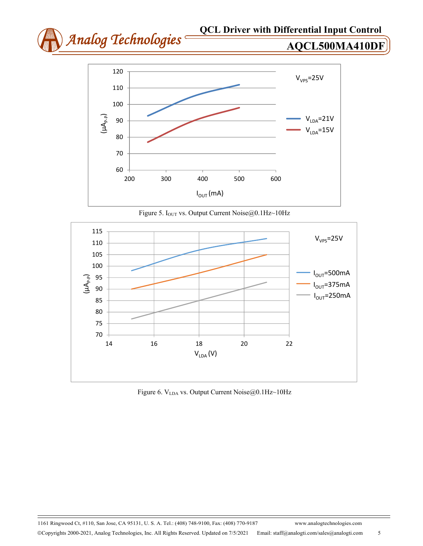

Figure 5. I<sub>OUT</sub> vs. Output Current Noise@0.1Hz~10Hz



Figure 6. V<sub>LDA</sub> vs. Output Current Noise@0.1Hz~10Hz